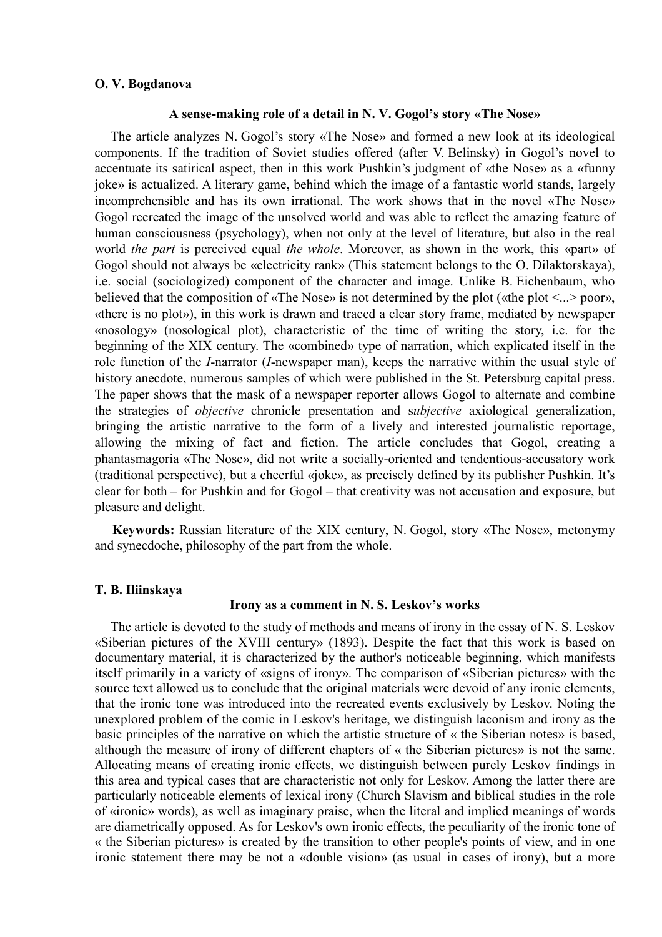### **O. V. Bogdanova**

### **A sense-making role of a detail in N. V. Gogol's story «The Nose»**

The article analyzes N. Gogol's story «The Nose» and formed a new look at its ideological components. If the tradition of Soviet studies offered (after V. Belinsky) in Gogol's novel to accentuate its satirical aspect, then in this work Pushkin's judgment of «the Nose» as a «funny joke» is actualized. A literary game, behind which the image of a fantastic world stands, largely incomprehensible and has its own irrational. The work shows that in the novel «The Nose» Gogol recreated the image of the unsolved world and was able to reflect the amazing feature of human consciousness (psychology), when not only at the level of literature, but also in the real world *the part* is perceived equal *the whole*. Moreover, as shown in the work, this «part» of Gogol should not always be «electricity rank» (This statement belongs to the O. Dilaktorskaya), i.e. social (sociologized) component of the character and image. Unlike B. Eichenbaum, who believed that the composition of «The Nose» is not determined by the plot («the plot <...> poor», «there is no plot»), in this work is drawn and traced a clear story frame, mediated by newspaper «nosology» (nosological plot), characteristic of the time of writing the story, i.e. for the beginning of the ХIХ century. The «combined» type of narration, which explicated itself in the role function of the *I*-narrator (*I*-newspaper man), keeps the narrative within the usual style of history anecdote, numerous samples of which were published in the St. Petersburg capital press. The paper shows that the mask of a newspaper reporter allows Gogol to alternate and combine the strategies of *objective* chronicle presentation and s*ubjective* axiological generalization, bringing the artistic narrative to the form of a lively and interested journalistic reportage, allowing the mixing of fact and fiction. The article concludes that Gogol, creating a phantasmagoria «The Nose», did not write a socially-oriented and tendentious-accusatory work (traditional perspective), but a cheerful «joke», as precisely defined by its publisher Pushkin. It's clear for both – for Pushkin and for Gogol – that creativity was not accusation and exposure, but pleasure and delight.

**Keywords:** Russian literature of the ХIХ century, N. Gogol, story «The Nose», metonymy and synecdoche, philosophy of the part from the whole.

### **T. B. Iliinskaya**

### **Irony as a comment in N. S. Leskov's works**

The article is devoted to the study of methods and means of irony in the essay of N. S. Leskov «Siberian pictures of the XVIII century» (1893). Despite the fact that this work is based on documentary material, it is characterized by the author's noticeable beginning, which manifests itself primarily in a variety of «signs of irony». The comparison of «Siberian pictures» with the source text allowed us to conclude that the original materials were devoid of any ironic elements, that the ironic tone was introduced into the recreated events exclusively by Leskov. Noting the unexplored problem of the comic in Leskov's heritage, we distinguish laconism and irony as the basic principles of the narrative on which the artistic structure of « the Siberian notes» is based, although the measure of irony of different chapters of « the Siberian pictures» is not the same. Allocating means of creating ironic effects, we distinguish between purely Leskov findings in this area and typical cases that are characteristic not only for Leskov. Among the latter there are particularly noticeable elements of lexical irony (Church Slavism and biblical studies in the role of «ironic» words), as well as imaginary praise, when the literal and implied meanings of words are diametrically opposed. As for Leskov's own ironic effects, the peculiarity of the ironic tone of « the Siberian pictures» is created by the transition to other people's points of view, and in one ironic statement there may be not a «double vision» (as usual in cases of irony), but a more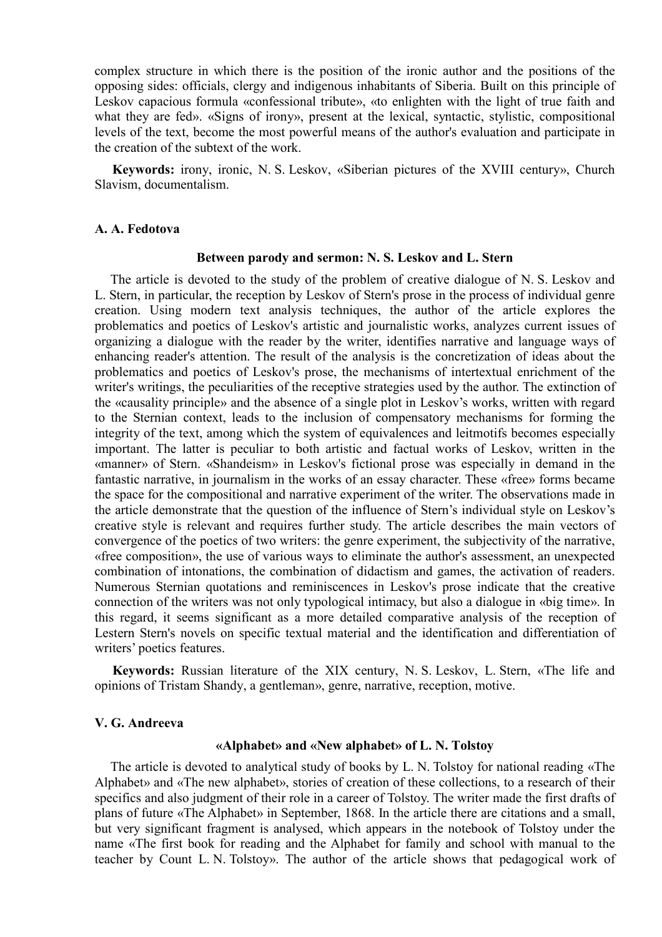complex structure in which there is the position of the ironic author and the positions of the opposing sides: officials, clergy and indigenous inhabitants of Siberia. Built on this principle of Leskov capacious formula «confessional tribute», «to enlighten with the light of true faith and what they are fed». «Signs of irony», present at the lexical, syntactic, stylistic, compositional levels of the text, become the most powerful means of the author's evaluation and participate in the creation of the subtext of the work.

**Keywords:** irony, ironic, N. S. Leskov, «Siberian pictures of the XVIII century», Church Slavism, documentalism.

### **A. A. Fedotova**

### **Between parody and sermon: N. S. Leskov and L. Stern**

The article is devoted to the study of the problem of creative dialogue of N. S. Leskov and L. Stern, in particular, the reception by Leskov of Stern's prose in the process of individual genre creation. Using modern text analysis techniques, the author of the article explores the problematics and poetics of Leskov's artistic and journalistic works, analyzes current issues of organizing a dialogue with the reader by the writer, identifies narrative and language ways of enhancing reader's attention. The result of the analysis is the concretization of ideas about the problematics and poetics of Leskov's prose, the mechanisms of intertextual enrichment of the writer's writings, the peculiarities of the receptive strategies used by the author. The extinction of the «causality principle» and the absence of a single plot in Leskov's works, written with regard to the Sternian context, leads to the inclusion of compensatory mechanisms for forming the integrity of the text, among which the system of equivalences and leitmotifs becomes especially important. The latter is peculiar to both artistic and factual works of Leskov, written in the «manner» of Stern. «Shandeism» in Leskov's fictional prose was especially in demand in the fantastic narrative, in journalism in the works of an essay character. These «free» forms became the space for the compositional and narrative experiment of the writer. The observations made in the article demonstrate that the question of the influence of Stern's individual style on Leskov's creative style is relevant and requires further study. The article describes the main vectors of convergence of the poetics of two writers: the genre experiment, the subjectivity of the narrative, «free composition», the use of various ways to eliminate the author's assessment, an unexpected combination of intonations, the combination of didactism and games, the activation of readers. Numerous Sternian quotations and reminiscences in Leskov's prose indicate that the creative connection of the writers was not only typological intimacy, but also a dialogue in «big time». In this regard, it seems significant as a more detailed comparative analysis of the reception of Lestern Stern's novels on specific textual material and the identification and differentiation of writers' poetics features.

**Keywords:** Russian literature of the XIX century, N. S. Leskov, L. Stern, «The life and opinions of Tristam Shandy, a gentleman», genre, narrative, reception, motive.

### **V. G. Andreeva**

#### **«Alphabet» and «New alphabet» of L. N. Tolstoy**

The article is devoted to analytical study of books by L. N. Tolstoy for national reading «The Alphabet» and «The new alphabet», stories of creation of these collections, to a research of their specifics and also judgment of their role in a career of Tolstoy. The writer made the first drafts of plans of future «The Alphabet» in September, 1868. In the article there are citations and a small, but very significant fragment is analysed, which appears in the notebook of Tolstoy under the name «The first book for reading and the Alphabet for family and school with manual to the teacher by Count L. N. Tolstoy». The author of the article shows that pedagogical work of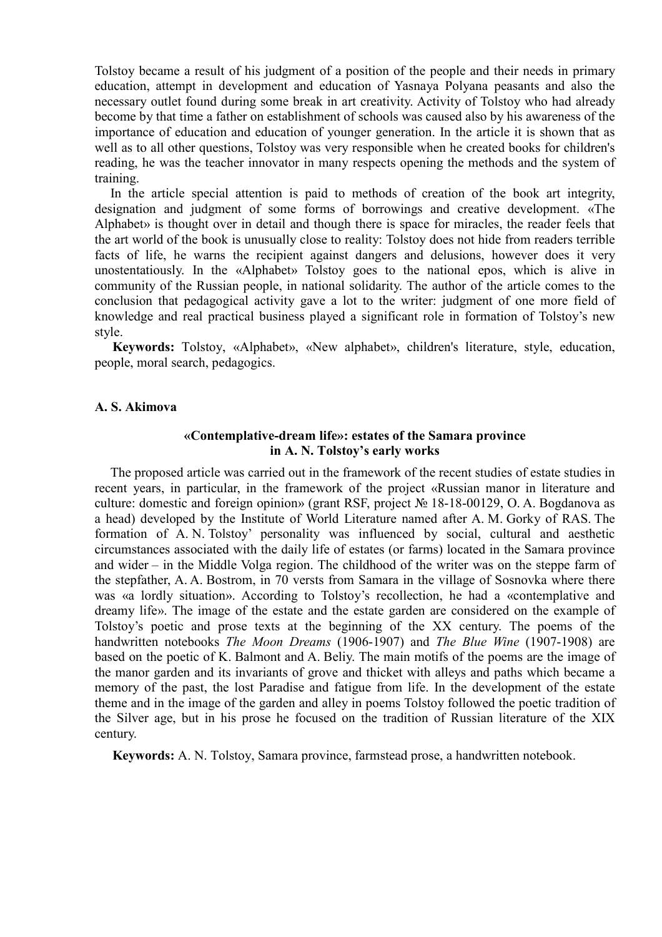Tolstoy became a result of his judgment of a position of the people and their needs in primary education, attempt in development and education of Yasnaya Polyana peasants and also the necessary outlet found during some break in art creativity. Activity of Tolstoy who had already become by that time a father on establishment of schools was caused also by his awareness of the importance of education and education of younger generation. In the article it is shown that as well as to all other questions, Tolstoy was very responsible when he created books for children's reading, he was the teacher innovator in many respects opening the methods and the system of training.

In the article special attention is paid to methods of creation of the book art integrity, designation and judgment of some forms of borrowings and creative development. «The Alphabet» is thought over in detail and though there is space for miracles, the reader feels that the art world of the book is unusually close to reality: Tolstoy does not hide from readers terrible facts of life, he warns the recipient against dangers and delusions, however does it very unostentatiously. In the «Alphabet» Tolstoy goes to the national epos, which is alive in community of the Russian people, in national solidarity. The author of the article comes to the conclusion that pedagogical activity gave a lot to the writer: judgment of one more field of knowledge and real practical business played a significant role in formation of Tolstoy's new style.

**Keywords:** Tolstoy, «Alphabet», «New alphabet», children's literature, style, education, people, moral search, pedagogics.

### **A. S. Akimova**

# **«Contemplative-dream life»: estates of the Samara province in A. N. Tolstoy's early works**

The proposed article was carried out in the framework of the recent studies of estate studies in recent years, in particular, in the framework of the project «Russian manor in literature and culture: domestic and foreign opinion» (grant RSF, project № 18-18-00129, O. A. Bogdanova as a head) developed by the Institute of World Literature named after A. M. Gorky of RAS. The formation of A. N. Tolstoy' personality was influenced by social, cultural and aesthetic circumstances associated with the daily life of estates (or farms) located in the Samara province and wider – in the Middle Volga region. The childhood of the writer was on the steppe farm of the stepfather, A. A. Bostrom, in 70 versts from Samara in the village of Sosnovka where there was «a lordly situation». According to Tolstoy's recollection, he had a «contemplative and dreamy life». The image of the estate and the estate garden are considered on the example of Tolstoy's poetic and prose texts at the beginning of the XX century. The poems of the handwritten notebooks *The Moon Dreams* (1906-1907) and *The Blue Wine* (1907-1908) are based on the poetic of K. Balmont and A. Beliy. The main motifs of the poems are the image of the manor garden and its invariants of grove and thicket with alleys and paths which became a memory of the past, the lost Paradise and fatigue from life. In the development of the estate theme and in the image of the garden and alley in poems Tolstoy followed the poetic tradition of the Silver age, but in his prose he focused on the tradition of Russian literature of the XIX century.

**Keywords:** A. N. Tolstoy, Samara province, farmstead prose, a handwritten notebook.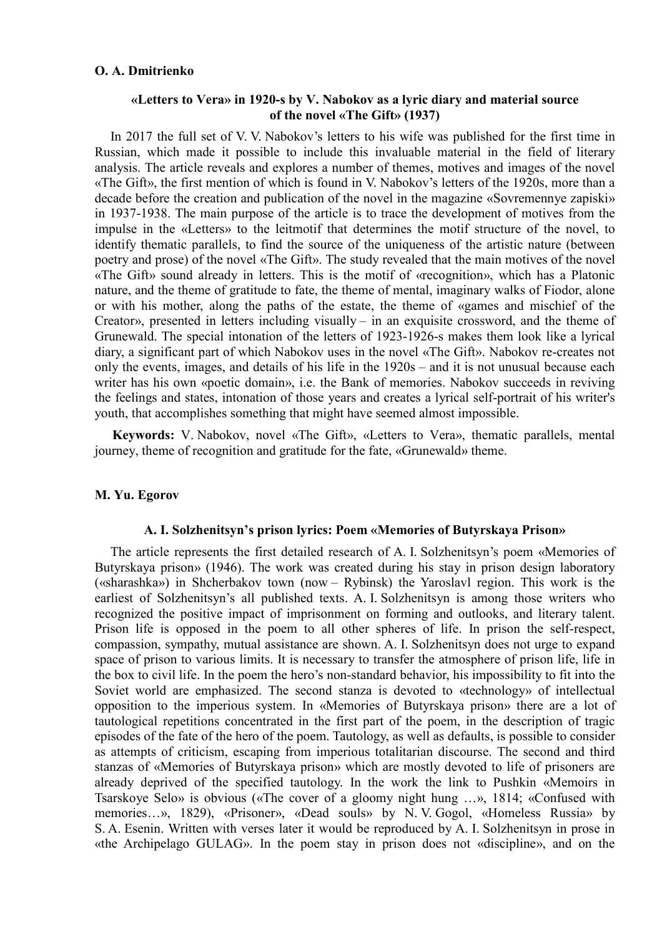## **O. A. Dmitrienko**

# **«Letters to Vera» in 1920-s by V. Nabokov as a lyric diary and material source of the novel «The Gift» (1937)**

In 2017 the full set of V. V. Nabokov's letters to his wife was published for the first time in Russian, which made it possible to include this invaluable material in the field of literary analysis. The article reveals and explores a number of themes, motives and images of the novel «The Gift», the first mention of which is found in V. Nabokov's letters of the 1920s, more than a decade before the creation and publication of the novel in the magazine «Sovremennye zapiski» in 1937-1938. The main purpose of the article is to trace the development of motives from the impulse in the «Letters» to the leitmotif that determines the motif structure of the novel, to identify thematic parallels, to find the source of the uniqueness of the artistic nature (between poetry and prose) of the novel «The Gift». The study revealed that the main motives of the novel «The Gift» sound already in letters. This is the motif of «recognition», which has a Platonic nature, and the theme of gratitude to fate, the theme of mental, imaginary walks of Fiodor, alone or with his mother, along the paths of the estate, the theme of «games and mischief of the Creator», presented in letters including visually – in an exquisite crossword, and the theme of Grunewald. The special intonation of the letters of 1923-1926-s makes them look like a lyrical diary, a significant part of which Nabokov uses in the novel «The Gift». Nabokov re-creates not only the events, images, and details of his life in the 1920s – and it is not unusual because each writer has his own «poetic domain», i.e. the Bank of memories. Nabokov succeeds in reviving the feelings and states, intonation of those years and creates a lyrical self-portrait of his writer's youth, that accomplishes something that might have seemed almost impossible.

**Keywords:** V. Nabokov, novel «The Gift», «Letters to Vera», thematic parallels, mental journey, theme of recognition and gratitude for the fate, «Grunewald» theme.

## **M. Yu. Egorov**

## **A. I. Solzhenitsyn's prison lyrics: Poem «Memories of Butyrskaya Prison»**

The article represents the first detailed research of A. I. Solzhenitsyn's poem «Memories of Butyrskaya prison» (1946). The work was created during his stay in prison design laboratory («sharashka») in Shcherbakov town (now – Rybinsk) the Yaroslavl region. This work is the earliest of Solzhenitsyn's all published texts. A. I. Solzhenitsyn is among those writers who recognized the positive impact of imprisonment on forming and outlooks, and literary talent. Prison life is opposed in the poem to all other spheres of life. In prison the self-respect, compassion, sympathy, mutual assistance are shown. A. I. Solzhenitsyn does not urge to expand space of prison to various limits. It is necessary to transfer the atmosphere of prison life, life in the box to civil life. In the poem the hero's non-standard behavior, his impossibility to fit into the Soviet world are emphasized. The second stanza is devoted to «technology» of intellectual opposition to the imperious system. In «Memories of Butyrskaya prison» there are a lot of tautological repetitions concentrated in the first part of the poem, in the description of tragic episodes of the fate of the hero of the poem. Tautology, as well as defaults, is possible to consider as attempts of criticism, escaping from imperious totalitarian discourse. The second and third stanzas of «Memories of Butyrskaya prison» which are mostly devoted to life of prisoners are already deprived of the specified tautology. In the work the link to Pushkin «Memoirs in Tsarskoye Selo» is obvious («The cover of a gloomy night hung …», 1814; «Confused with memories…», 1829), «Prisoner», «Dead souls» by N. V. Gogol, «Homeless Russia» by S. A. Esenin. Written with verses later it would be reproduced by A. I. Solzhenitsyn in prose in «the Archipelago GULAG». In the poem stay in prison does not «discipline», and on the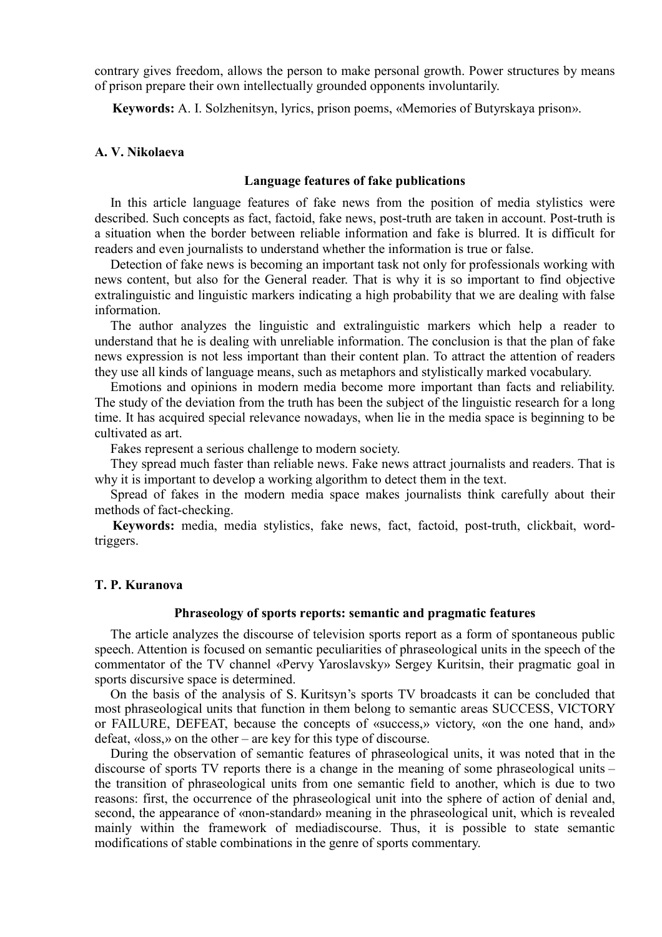contrary gives freedom, allows the person to make personal growth. Power structures by means of prison prepare their own intellectually grounded opponents involuntarily.

**Keywords:** A. I. Solzhenitsyn, lyrics, prison poems, «Memories of Butyrskaya prison».

## **A. V. Nikolaeva**

### **Language features of fake publications**

In this article language features of fake news from the position of media stylistics were described. Such concepts as fact, factoid, fake news, post-truth are taken in account. Post-truth is a situation when the border between reliable information and fake is blurred. It is difficult for readers and even journalists to understand whether the information is true or false.

Detection of fake news is becoming an important task not only for professionals working with news content, but also for the General reader. That is why it is so important to find objective extralinguistic and linguistic markers indicating a high probability that we are dealing with false information.

The author analyzes the linguistic and extralinguistic markers which help a reader to understand that he is dealing with unreliable information. The conclusion is that the plan of fake news expression is not less important than their content plan. To attract the attention of readers they use all kinds of language means, such as metaphors and stylistically marked vocabulary.

Emotions and opinions in modern media become more important than facts and reliability. The study of the deviation from the truth has been the subject of the linguistic research for a long time. It has acquired special relevance nowadays, when lie in the media space is beginning to be cultivated as art.

Fakes represent a serious challenge to modern society.

They spread much faster than reliable news. Fake news attract journalists and readers. That is why it is important to develop a working algorithm to detect them in the text.

Spread of fakes in the modern media space makes journalists think carefully about their methods of fact-checking.

**Keywords:** media, media stylistics, fake news, fact, factoid, post-truth, clickbait, wordtriggers.

#### **T. P. Kuranova**

### **Phraseology of sports reports: semantic and pragmatic features**

The article analyzes the discourse of television sports report as a form of spontaneous public speech. Attention is focused on semantic peculiarities of phraseological units in the speech of the commentator of the TV channel «Pervy Yaroslavsky» Sergey Kuritsin, their pragmatic goal in sports discursive space is determined.

On the basis of the analysis of S. Kuritsyn's sports TV broadcasts it can be concluded that most phraseological units that function in them belong to semantic areas SUCCESS, VICTORY or FAILURE, DEFEAT, because the concepts of «success,» victory, «on the one hand, and» defeat, «loss,» on the other – are key for this type of discourse.

During the observation of semantic features of phraseological units, it was noted that in the discourse of sports TV reports there is a change in the meaning of some phraseological units – the transition of phraseological units from one semantic field to another, which is due to two reasons: first, the occurrence of the phraseological unit into the sphere of action of denial and, second, the appearance of «non-standard» meaning in the phraseological unit, which is revealed mainly within the framework of mediadiscourse. Thus, it is possible to state semantic modifications of stable combinations in the genre of sports commentary.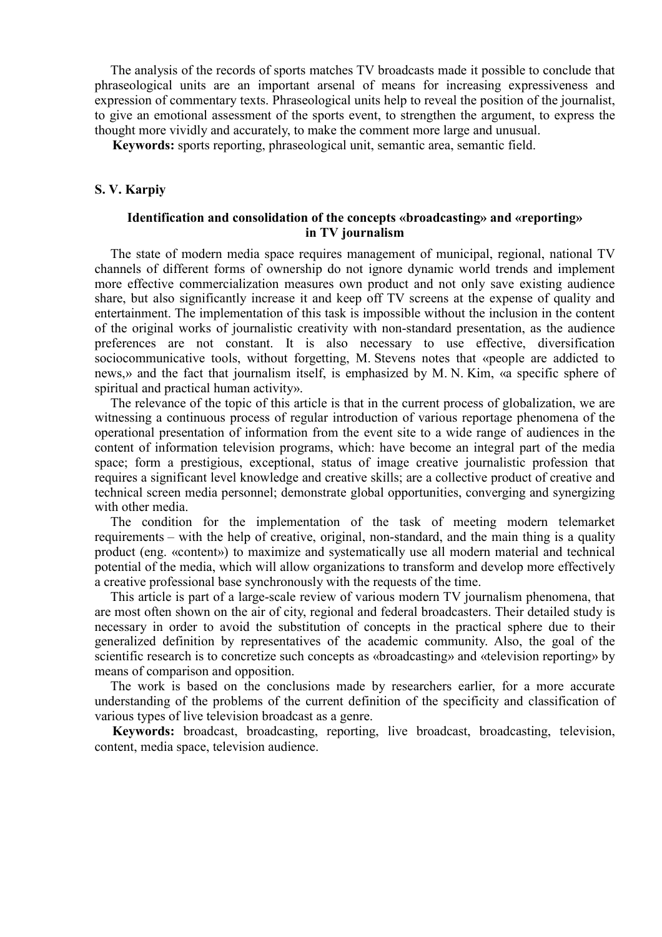The analysis of the records of sports matches TV broadcasts made it possible to conclude that phraseological units are an important arsenal of means for increasing expressiveness and expression of commentary texts. Phraseological units help to reveal the position of the journalist, to give an emotional assessment of the sports event, to strengthen the argument, to express the thought more vividly and accurately, to make the comment more large and unusual.

**Keywords:** sports reporting, phraseological unit, semantic area, semantic field.

## **S. V. Karpiy**

## **Identification and consolidation of the concepts «broadcasting» and «reporting» in TV journalism**

The state of modern media space requires management of municipal, regional, national TV channels of different forms of ownership do not ignore dynamic world trends and implement more effective commercialization measures own product and not only save existing audience share, but also significantly increase it and keep off TV screens at the expense of quality and entertainment. The implementation of this task is impossible without the inclusion in the content of the original works of journalistic creativity with non-standard presentation, as the audience preferences are not constant. It is also necessary to use effective, diversification sociocommunicative tools, without forgetting, M. Stevens notes that «people are addicted to news,» and the fact that journalism itself, is emphasized by M. N. Kim, «a specific sphere of spiritual and practical human activity».

The relevance of the topic of this article is that in the current process of globalization, we are witnessing a continuous process of regular introduction of various reportage phenomena of the operational presentation of information from the event site to a wide range of audiences in the content of information television programs, which: have become an integral part of the media space; form a prestigious, exceptional, status of image creative journalistic profession that requires a significant level knowledge and creative skills; are a collective product of creative and technical screen media personnel; demonstrate global opportunities, converging and synergizing with other media.

The condition for the implementation of the task of meeting modern telemarket requirements – with the help of creative, original, non-standard, and the main thing is a quality product (eng. «content») to maximize and systematically use all modern material and technical potential of the media, which will allow organizations to transform and develop more effectively a creative professional base synchronously with the requests of the time.

This article is part of a large-scale review of various modern TV journalism phenomena, that are most often shown on the air of city, regional and federal broadcasters. Their detailed study is necessary in order to avoid the substitution of concepts in the practical sphere due to their generalized definition by representatives of the academic community. Also, the goal of the scientific research is to concretize such concepts as «broadcasting» and «television reporting» by means of comparison and opposition.

The work is based on the conclusions made by researchers earlier, for a more accurate understanding of the problems of the current definition of the specificity and classification of various types of live television broadcast as a genre.

**Keywords:** broadcast, broadcasting, reporting, live broadcast, broadcasting, television, content, media space, television audience.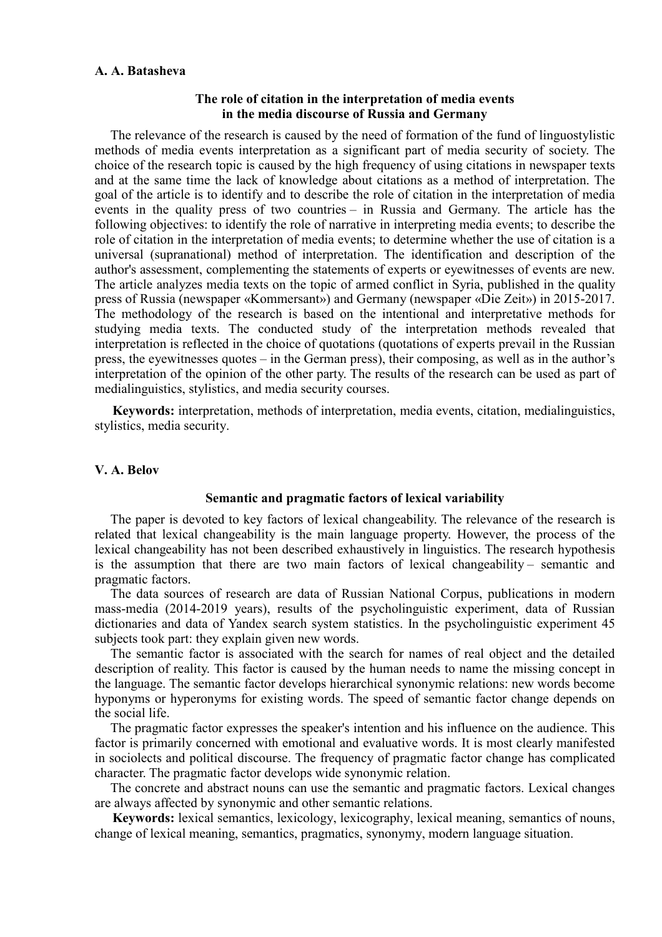### **A. A. Batasheva**

## **The role of citation in the interpretation of media events in the media discourse of Russia and Germany**

The relevance of the research is caused by the need of formation of the fund of linguostylistic methods of media events interpretation as a significant part of media security of society. The choice of the research topic is caused by the high frequency of using citations in newspaper texts and at the same time the lack of knowledge about citations as a method of interpretation. The goal of the article is to identify and to describe the role of citation in the interpretation of media events in the quality press of two countries – in Russia and Germany. The article has the following objectives: to identify the role of narrative in interpreting media events; to describe the role of citation in the interpretation of media events; to determine whether the use of citation is a universal (supranational) method of interpretation. The identification and description of the author's assessment, complementing the statements of experts or eyewitnesses of events are new. The article analyzes media texts on the topic of armed conflict in Syria, published in the quality press of Russia (newspaper «Kommersant») and Germany (newspaper «Die Zeit») in 2015-2017. The methodology of the research is based on the intentional and interpretative methods for studying media texts. The conducted study of the interpretation methods revealed that interpretation is reflected in the choice of quotations (quotations of experts prevail in the Russian press, the eyewitnesses quotes – in the German press), their composing, as well as in the author's interpretation of the opinion of the other party. The results of the research can be used as part of medialinguistics, stylistics, and media security courses.

**Keywords:** interpretation, methods of interpretation, media events, citation, medialinguistics, stylistics, media security.

## **V. A. Belov**

#### **Semantic and pragmatic factors of lexical variability**

The paper is devoted to key factors of lexical changeability. The relevance of the research is related that lexical changeability is the main language property. However, the process of the lexical changeability has not been described exhaustively in linguistics. The research hypothesis is the assumption that there are two main factors of lexical changeability – semantic and pragmatic factors.

The data sources of research are data of Russian National Corpus, publications in modern mass-media (2014-2019 years), results of the psycholinguistic experiment, data of Russian dictionaries and data of Yandex search system statistics. In the psycholinguistic experiment 45 subjects took part: they explain given new words.

The semantic factor is associated with the search for names of real object and the detailed description of reality. This factor is caused by the human needs to name the missing concept in the language. The semantic factor develops hierarchical synonymic relations: new words become hyponyms or hyperonyms for existing words. The speed of semantic factor change depends on the social life.

The pragmatic factor expresses the speaker's intention and his influence on the audience. This factor is primarily concerned with emotional and evaluative words. It is most clearly manifested in sociolects and political discourse. The frequency of pragmatic factor change has complicated character. The pragmatic factor develops wide synonymic relation.

The concrete and abstract nouns can use the semantic and pragmatic factors. Lexical changes are always affected by synonymic and other semantic relations.

**Keywords:** lexical semantics, lexicology, lexicography, lexical meaning, semantics of nouns, change of lexical meaning, semantics, pragmatics, synonymy, modern language situation.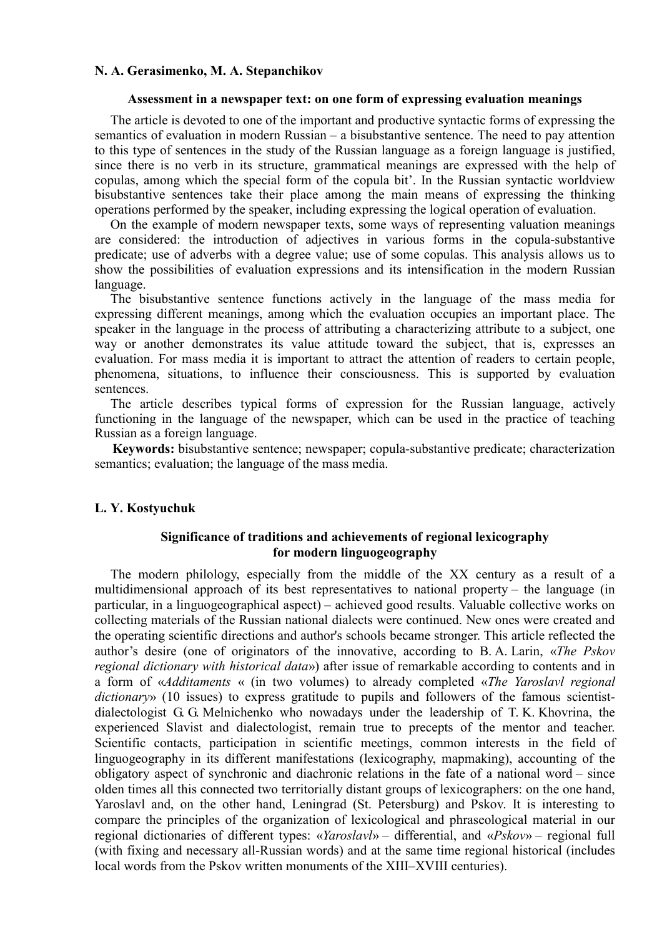## **N. A. Gerasimenko, M. A. Stepanchikov**

### **Assessment in a newspaper text: on one form of expressing evaluation meanings**

The article is devoted to one of the important and productive syntactic forms of expressing the semantics of evaluation in modern Russian – a bisubstantive sentence. The need to pay attention to this type of sentences in the study of the Russian language as a foreign language is justified, since there is no verb in its structure, grammatical meanings are expressed with the help of copulas, among which the special form of the copula bit'. In the Russian syntactic worldview bisubstantive sentences take their place among the main means of expressing the thinking operations performed by the speaker, including expressing the logical operation of evaluation.

On the example of modern newspaper texts, some ways of representing valuation meanings are considered: the introduction of adjectives in various forms in the copula-substantive predicate; use of adverbs with a degree value; use of some copulas. This analysis allows us to show the possibilities of evaluation expressions and its intensification in the modern Russian language.

The bisubstantive sentence functions actively in the language of the mass media for expressing different meanings, among which the evaluation occupies an important place. The speaker in the language in the process of attributing a characterizing attribute to a subject, one way or another demonstrates its value attitude toward the subject, that is, expresses an evaluation. For mass media it is important to attract the attention of readers to certain people, phenomena, situations, to influence their consciousness. This is supported by evaluation sentences.

The article describes typical forms of expression for the Russian language, actively functioning in the language of the newspaper, which can be used in the practice of teaching Russian as a foreign language.

**Keywords:** bisubstantive sentence; newspaper; copula-substantive predicate; characterization semantics; evaluation; the language of the mass media.

# **L. Y. Kostyuchuk**

# **Significance of traditions and achievements of regional lexicography for modern linguogeography**

The modern philology, especially from the middle of the XX century as a result of a multidimensional approach of its best representatives to national property – the language (in particular, in a linguogeographical aspect) – achieved good results. Valuable collective works on collecting materials of the Russian national dialects were continued. New ones were created and the operating scientific directions and author's schools became stronger. This article reflected the author's desire (one of originators of the innovative, according to B. A. Larin, «*The Pskov regional dictionary with historical data*») after issue of remarkable according to contents and in a form of «*Additaments* « (in two volumes) to already completed «*The Yaroslavl regional dictionary*» (10 issues) to express gratitude to pupils and followers of the famous scientistdialectologist G. G. Melnichenko who nowadays under the leadership of T. K. Khovrina, the experienced Slavist and dialectologist, remain true to precepts of the mentor and teacher. Scientific contacts, participation in scientific meetings, common interests in the field of linguogeography in its different manifestations (lexicography, mapmaking), accounting of the obligatory aspect of synchronic and diachronic relations in the fate of a national word – since olden times all this connected two territorially distant groups of lexicographers: on the one hand, Yaroslavl and, on the other hand, Leningrad (St. Petersburg) and Pskov. It is interesting to compare the principles of the organization of lexicological and phraseological material in our regional dictionaries of different types: «*Yaroslavl*» – differential, and «*Pskov*» – regional full (with fixing and necessary all-Russian words) and at the same time regional historical (includes local words from the Pskov written monuments of the XIII–XVIII centuries).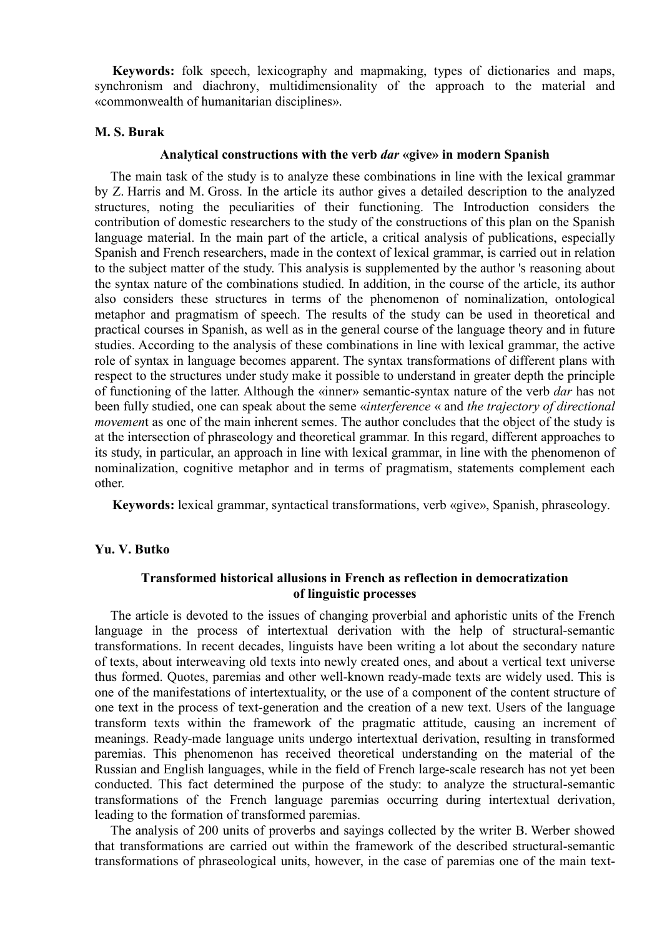**Keywords:** folk speech, lexicography and mapmaking, types of dictionaries and maps, synchronism and diachrony, multidimensionality of the approach to the material and «commonwealth of humanitarian disciplines».

## **M. S. Burak**

# **Analytical constructions with the verb** *dar* **«give» in modern Spanish**

The main task of the study is to analyze these combinations in line with the lexical grammar by Z. Harris and M. Gross. In the article its author gives a detailed description to the analyzed structures, noting the peculiarities of their functioning. The Introduction considers the contribution of domestic researchers to the study of the constructions of this plan on the Spanish language material. In the main part of the article, a critical analysis of publications, especially Spanish and French researchers, made in the context of lexical grammar, is carried out in relation to the subject matter of the study. This analysis is supplemented by the author 's reasoning about the syntax nature of the combinations studied. In addition, in the course of the article, its author also considers these structures in terms of the phenomenon of nominalization, ontological metaphor and pragmatism of speech. The results of the study can be used in theoretical and practical courses in Spanish, as well as in the general course of the language theory and in future studies. According to the analysis of these combinations in line with lexical grammar, the active role of syntax in language becomes apparent. The syntax transformations of different plans with respect to the structures under study make it possible to understand in greater depth the principle of functioning of the latter. Although the «inner» semantic-syntax nature of the verb *dar* has not been fully studied, one can speak about the seme «*interference* « and *the trajectory of directional movement* as one of the main inherent semes. The author concludes that the object of the study is at the intersection of phraseology and theoretical grammar. In this regard, different approaches to its study, in particular, an approach in line with lexical grammar, in line with the phenomenon of nominalization, cognitive metaphor and in terms of pragmatism, statements complement each other.

**Keywords:** lexical grammar, syntactical transformations, verb «give», Spanish, phraseology.

# **Yu. V. Butko**

# **Transformed historical allusions in French as reflection in democratization of linguistic processes**

The article is devoted to the issues of changing proverbial and aphoristic units of the French language in the process of intertextual derivation with the help of structural-semantic transformations. In recent decades, linguists have been writing a lot about the secondary nature of texts, about interweaving old texts into newly created ones, and about a vertical text universe thus formed. Quotes, paremias and other well-known ready-made texts are widely used. This is one of the manifestations of intertextuality, or the use of a component of the content structure of one text in the process of text-generation and the creation of a new text. Users of the language transform texts within the framework of the pragmatic attitude, causing an increment of meanings. Ready-made language units undergo intertextual derivation, resulting in transformed paremias. This phenomenon has received theoretical understanding on the material of the Russian and English languages, while in the field of French large-scale research has not yet been conducted. This fact determined the purpose of the study: to analyze the structural-semantic transformations of the French language paremias occurring during intertextual derivation, leading to the formation of transformed paremias.

The analysis of 200 units of proverbs and sayings collected by the writer B. Werber showed that transformations are carried out within the framework of the described structural-semantic transformations of phraseological units, however, in the case of paremias one of the main text-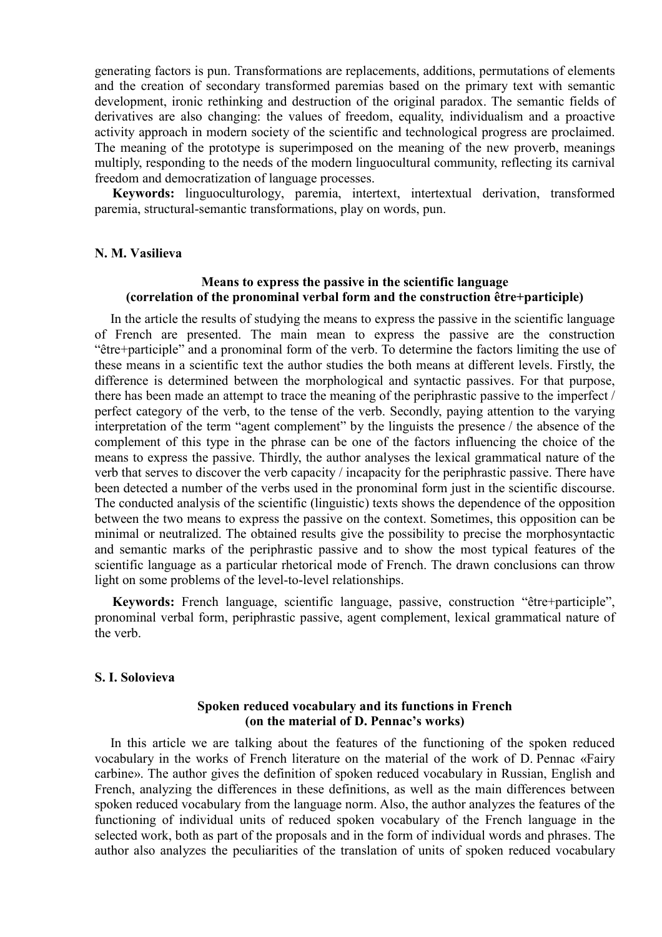generating factors is pun. Transformations are replacements, additions, permutations of elements and the creation of secondary transformed paremias based on the primary text with semantic development, ironic rethinking and destruction of the original paradox. The semantic fields of derivatives are also changing: the values of freedom, equality, individualism and a proactive activity approach in modern society of the scientific and technological progress are proclaimed. The meaning of the prototype is superimposed on the meaning of the new proverb, meanings multiply, responding to the needs of the modern linguocultural community, reflecting its carnival freedom and democratization of language processes.

**Keywords:** linguoculturology, paremia, intertext, intertextual derivation, transformed paremia, structural-semantic transformations, play on words, pun.

### **N. M. Vasilieva**

## **Means to express the passive in the scientific language (correlation of the pronominal verbal form and the construction être+participle)**

In the article the results of studying the means to express the passive in the scientific language of French are presented. The main mean to express the passive are the construction "être+participle" and a pronominal form of the verb. To determine the factors limiting the use of these means in a scientific text the author studies the both means at different levels. Firstly, the difference is determined between the morphological and syntactic passives. For that purpose, there has been made an attempt to trace the meaning of the periphrastic passive to the imperfect / perfect category of the verb, to the tense of the verb. Secondly, paying attention to the varying interpretation of the term "agent complement" by the linguists the presence / the absence of the complement of this type in the phrase can be one of the factors influencing the choice of the means to express the passive. Thirdly, the author analyses the lexical grammatical nature of the verb that serves to discover the verb capacity / incapacity for the periphrastic passive. There have been detected a number of the verbs used in the pronominal form just in the scientific discourse. The conducted analysis of the scientific (linguistic) texts shows the dependence of the opposition between the two means to express the passive on the context. Sometimes, this opposition can be minimal or neutralized. The obtained results give the possibility to precise the morphosyntactic and semantic marks of the periphrastic passive and to show the most typical features of the scientific language as a particular rhetorical mode of French. The drawn conclusions can throw light on some problems of the level-to-level relationships.

**Keywords:** French language, scientific language, passive, construction "être+participle", pronominal verbal form, periphrastic passive, agent complement, lexical grammatical nature of the verb.

#### **S. I. Solovieva**

# **Spoken reduced vocabulary and its functions in French (on the material of D. Pennac's works)**

In this article we are talking about the features of the functioning of the spoken reduced vocabulary in the works of French literature on the material of the work of D. Pennac «Fairy carbine». The author gives the definition of spoken reduced vocabulary in Russian, English and French, analyzing the differences in these definitions, as well as the main differences between spoken reduced vocabulary from the language norm. Also, the author analyzes the features of the functioning of individual units of reduced spoken vocabulary of the French language in the selected work, both as part of the proposals and in the form of individual words and phrases. The author also analyzes the peculiarities of the translation of units of spoken reduced vocabulary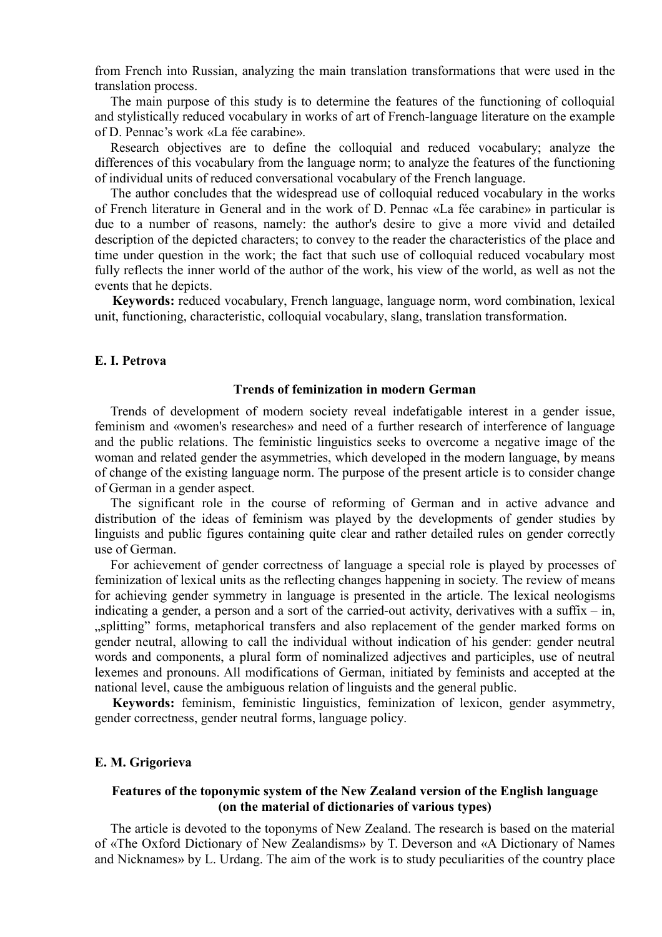from French into Russian, analyzing the main translation transformations that were used in the translation process.

The main purpose of this study is to determine the features of the functioning of colloquial and stylistically reduced vocabulary in works of art of French-language literature on the example of D. Pennac's work «La fée carabine».

Research objectives are to define the colloquial and reduced vocabulary; analyze the differences of this vocabulary from the language norm; to analyze the features of the functioning of individual units of reduced conversational vocabulary of the French language.

The author concludes that the widespread use of colloquial reduced vocabulary in the works of French literature in General and in the work of D. Pennac «La fée carabine» in particular is due to a number of reasons, namely: the author's desire to give a more vivid and detailed description of the depicted characters; to convey to the reader the characteristics of the place and time under question in the work; the fact that such use of colloquial reduced vocabulary most fully reflects the inner world of the author of the work, his view of the world, as well as not the events that he depicts.

**Keywords:** reduced vocabulary, French language, language norm, word combination, lexical unit, functioning, characteristic, colloquial vocabulary, slang, translation transformation.

### **E. I. Petrova**

## **Trends of feminization in modern German**

Trends of development of modern society reveal indefatigable interest in a gender issue, feminism and «women's researches» and need of a further research of interference of language and the public relations. The feministic linguistics seeks to overcome a negative image of the woman and related gender the asymmetries, which developed in the modern language, by means of change of the existing language norm. The purpose of the present article is to consider change of German in a gender aspect.

The significant role in the course of reforming of German and in active advance and distribution of the ideas of feminism was played by the developments of gender studies by linguists and public figures containing quite clear and rather detailed rules on gender correctly use of German.

For achievement of gender correctness of language a special role is played by processes of feminization of lexical units as the reflecting changes happening in society. The review of means for achieving gender symmetry in language is presented in the article. The lexical neologisms indicating a gender, a person and a sort of the carried-out activity, derivatives with a suffix – in, "splitting" forms, metaphorical transfers and also replacement of the gender marked forms on gender neutral, allowing to call the individual without indication of his gender: gender neutral words and components, a plural form of nominalized adjectives and participles, use of neutral lexemes and pronouns. All modifications of German, initiated by feminists and accepted at the national level, cause the ambiguous relation of linguists and the general public.

**Keywords:** feminism, feministic linguistics, feminization of lexicon, gender asymmetry, gender correctness, gender neutral forms, language policy.

### **E. M. Grigorieva**

## **Features of the toponymic system of the New Zealand version of the English language (on the material of dictionaries of various types)**

The article is devoted to the toponyms of New Zealand. The research is based on the material of «The Oxford Dictionary of New Zealandisms» by T. Deverson and «A Dictionary of Names and Nicknames» by L. Urdang. The aim of the work is to study peculiarities of the country place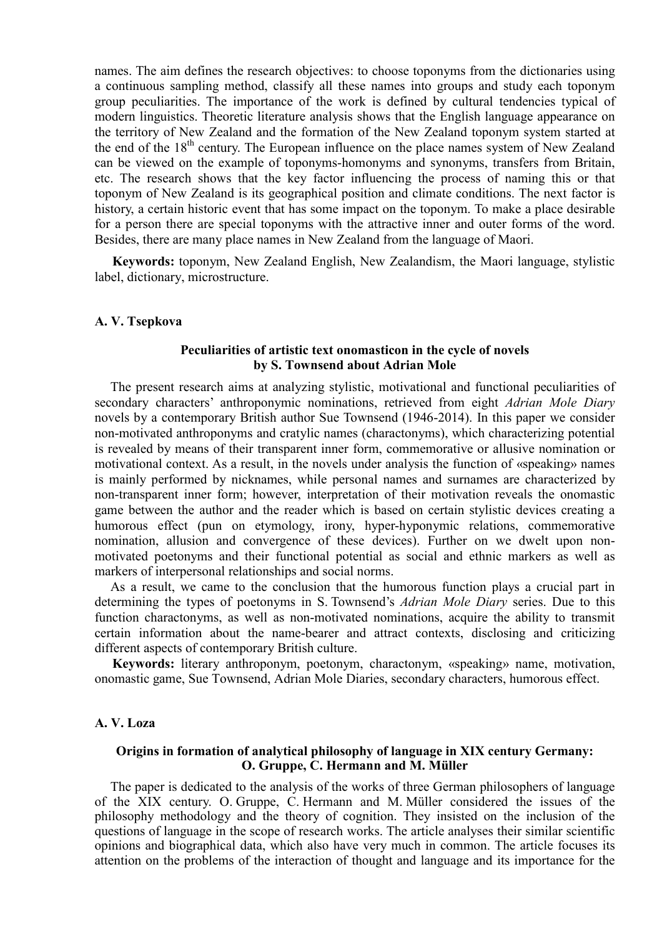names. The aim defines the research objectives: to choose toponyms from the dictionaries using a continuous sampling method, classify all these names into groups and study each toponym group peculiarities. The importance of the work is defined by cultural tendencies typical of modern linguistics. Theoretic literature analysis shows that the English language appearance on the territory of New Zealand and the formation of the New Zealand toponym system started at the end of the 18<sup>th</sup> century. The European influence on the place names system of New Zealand can be viewed on the example of toponyms-homonyms and synonyms, transfers from Britain, etc. The research shows that the key factor influencing the process of naming this or that toponym of New Zealand is its geographical position and climate conditions. The next factor is history, a certain historic event that has some impact on the toponym. To make a place desirable for a person there are special toponyms with the attractive inner and outer forms of the word. Besides, there are many place names in New Zealand from the language of Maori.

**Keywords:** toponym, New Zealand English, New Zealandism, the Maori language, stylistic label, dictionary, microstructure.

#### **A. V. Tsepkova**

### **Peculiarities of artistic text onomasticon in the cycle of novels by S. Townsend about Adrian Mole**

The present research aims at analyzing stylistic, motivational and functional peculiarities of secondary characters' anthroponymic nominations, retrieved from eight *Adrian Mole Diary* novels by a contemporary British author Sue Townsend (1946-2014). In this paper we consider non-motivated anthroponyms and cratylic names (charactonyms), which characterizing potential is revealed by means of their transparent inner form, commemorative or allusive nomination or motivational context. As a result, in the novels under analysis the function of «speaking» names is mainly performed by nicknames, while personal names and surnames are characterized by non-transparent inner form; however, interpretation of their motivation reveals the onomastic game between the author and the reader which is based on certain stylistic devices creating a humorous effect (pun on etymology, irony, hyper-hyponymic relations, commemorative nomination, allusion and convergence of these devices). Further on we dwelt upon nonmotivated poetonyms and their functional potential as social and ethnic markers as well as markers of interpersonal relationships and social norms.

As a result, we came to the conclusion that the humorous function plays a crucial part in determining the types of poetonyms in S. Townsend's *Adrian Mole Diary* series. Due to this function charactonyms, as well as non-motivated nominations, acquire the ability to transmit certain information about the name-bearer and attract contexts, disclosing and criticizing different aspects of contemporary British culture.

**Keywords:** literary anthroponym, poetonym, charactonym, «speaking» name, motivation, onomastic game, Sue Townsend, Adrian Mole Diaries, secondary characters, humorous effect.

### **A. V. Loza**

## **Origins in formation of analytical philosophy of language in XIX century Germany: O. Gruppe, C. Hermann and M. Müller**

The paper is dedicated to the analysis of the works of three German philosophers of language of the XIX century. O. Gruppe, C. Hermann and M. Müller considered the issues of the philosophy methodology and the theory of cognition. They insisted on the inclusion of the questions of language in the scope of research works. The article analyses their similar scientific opinions and biographical data, which also have very much in common. The article focuses its attention on the problems of the interaction of thought and language and its importance for the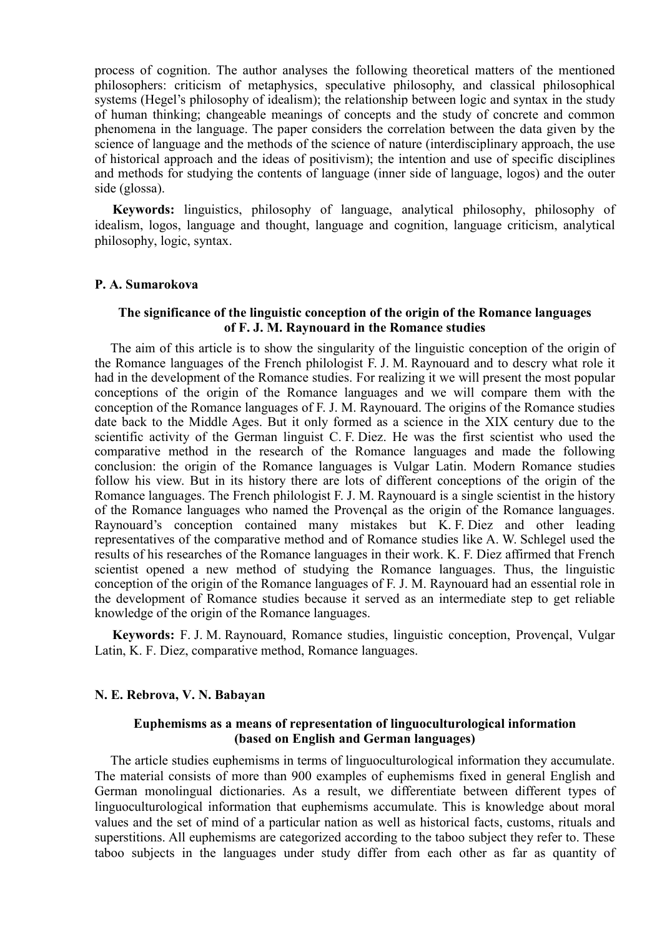process of cognition. The author analyses the following theoretical matters of the mentioned philosophers: criticism of metaphysics, speculative philosophy, and classical philosophical systems (Hegel's philosophy of idealism); the relationship between logic and syntax in the study of human thinking; changeable meanings of concepts and the study of concrete and common phenomena in the language. The paper considers the correlation between the data given by the science of language and the methods of the science of nature (interdisciplinary approach, the use of historical approach and the ideas of positivism); the intention and use of specific disciplines and methods for studying the contents of language (inner side of language, logos) and the outer side (glossa).

**Keywords:** linguistics, philosophy of language, analytical philosophy, philosophy of idealism, logos, language and thought, language and cognition, language criticism, analytical philosophy, logic, syntax.

### **P. А. Sumarokova**

### **The significance of the linguistic conception of the origin of the Romance languages of F. J. M. Raynouard in the Romance studies**

The aim of this article is to show the singularity of the linguistic conception of the origin of the Romance languages of the French philologist F. J. M. Raynouard and to descry what role it had in the development of the Romance studies. For realizing it we will present the most popular conceptions of the origin of the Romance languages and we will compare them with the conception of the Romance languages of F. J. M. Raynouard. The origins of the Romance studies date back to the Middle Ages. But it only formed as a science in the ХIХ century due to the scientific activity of the German linguist C. F. Diez. He was the first scientist who used the comparative method in the research of the Romance languages and made the following conclusion: the origin of the Romance languages is Vulgar Latin. Modern Romance studies follow his view. But in its history there are lots of different conceptions of the origin of the Romance languages. The French philologist F. J. M. Raynouard is a single scientist in the history of the Romance languages who named the Provençal as the origin of the Romance languages. Raynouard's conception contained many mistakes but K. F. Diez and other leading representatives of the comparative method and of Romance studies like A. W. Schlegel used the results of his researches of the Romance languages in their work. K. F. Diez affirmed that French scientist opened a new method of studying the Romance languages. Thus, the linguistic conception of the origin of the Romance languages of F. J. M. Raynouard had an essential role in the development of Romance studies because it served as an intermediate step to get reliable knowledge of the origin of the Romance languages.

**Keywords:** F. J. M. Raynouard, Romance studies, linguistic conception, Provençal, Vulgar Latin, K. F. Diez, comparative method, Romance languages.

### **N. E. Rebrova, V. N. Babayan**

# **Euphemisms as a means of representation of linguoculturological information (based on English and German languages)**

The article studies euphemisms in terms of linguoculturological information they accumulate. The material consists of more than 900 examples of euphemisms fixed in general English and German monolingual dictionaries. As a result, we differentiate between different types of linguoculturological information that euphemisms accumulate. This is knowledge about moral values and the set of mind of a particular nation as well as historical facts, customs, rituals and superstitions. All euphemisms are categorized according to the taboo subject they refer to. These taboo subjects in the languages under study differ from each other as far as quantity of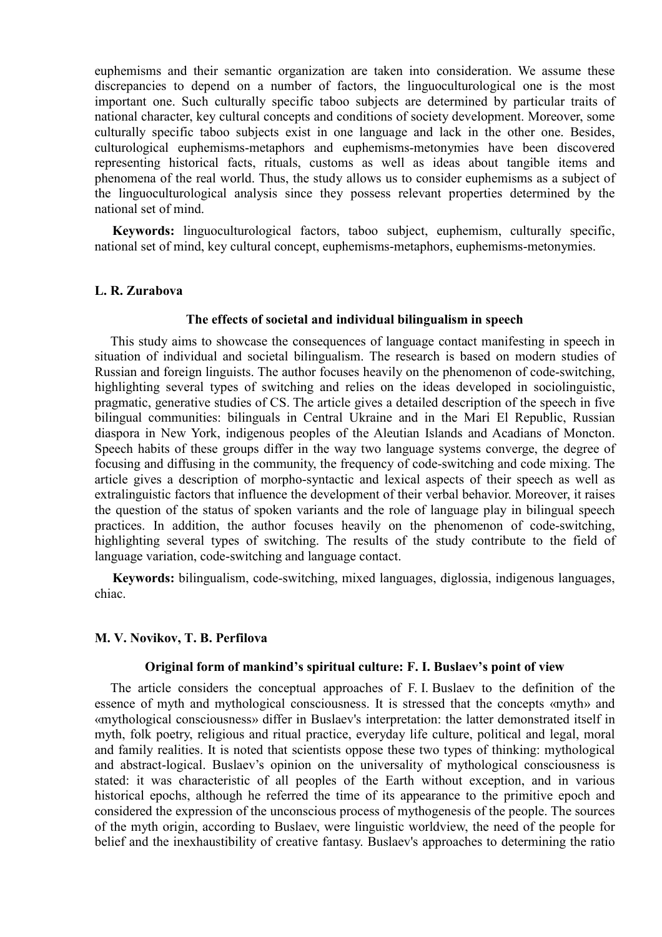euphemisms and their semantic organization are taken into consideration. We assume these discrepancies to depend on a number of factors, the linguoculturological one is the most important one. Such culturally specific taboo subjects are determined by particular traits of national character, key cultural concepts and conditions of society development. Moreover, some culturally specific taboo subjects exist in one language and lack in the other one. Besides, culturological euphemisms-metaphors and euphemisms-metonymies have been discovered representing historical facts, rituals, customs as well as ideas about tangible items and phenomena of the real world. Thus, the study allows us to consider euphemisms as a subject of the linguoculturological analysis since they possess relevant properties determined by the national set of mind.

**Keywords:** linguoculturological factors, taboo subject, euphemism, culturally specific, national set of mind, key cultural concept, euphemisms-metaphors, euphemisms-metonymies.

### **L. R. Zurabova**

### **The effects of societal and individual bilingualism in speech**

This study aims to showcase the consequences of language contact manifesting in speech in situation of individual and societal bilingualism. The research is based on modern studies of Russian and foreign linguists. The author focuses heavily on the phenomenon of code-switching, highlighting several types of switching and relies on the ideas developed in sociolinguistic. pragmatic, generative studies of CS. The article gives a detailed description of the speech in five bilingual communities: bilinguals in Central Ukraine and in the Mari El Republic, Russian diaspora in New York, indigenous peoples of the Aleutian Islands and Acadians of Moncton. Speech habits of these groups differ in the way two language systems converge, the degree of focusing and diffusing in the community, the frequency of code-switching and code mixing. The article gives a description of morpho-syntactic and lexical aspects of their speech as well as extralinguistic factors that influence the development of their verbal behavior. Moreover, it raises the question of the status of spoken variants and the role of language play in bilingual speech practices. In addition, the author focuses heavily on the phenomenon of code-switching, highlighting several types of switching. The results of the study contribute to the field of language variation, code-switching and language contact.

**Keywords:** bilingualism, code-switching, mixed languages, diglossia, indigenous languages, chiac.

### **M. V. Novikov, T. B. Perfilova**

# **Original form of mankind's spiritual culture: F. I. Buslaev's point of view**

The article considers the conceptual approaches of F. I. Buslaev to the definition of the essence of myth and mythological consciousness. It is stressed that the concepts «myth» and «mythological consciousness» differ in Buslaev's interpretation: the latter demonstrated itself in myth, folk poetry, religious and ritual practice, everyday life culture, political and legal, moral and family realities. It is noted that scientists oppose these two types of thinking: mythological and abstract-logical. Buslaev's opinion on the universality of mythological consciousness is stated: it was characteristic of all peoples of the Earth without exception, and in various historical epochs, although he referred the time of its appearance to the primitive epoch and considered the expression of the unconscious process of mythogenesis of the people. The sources of the myth origin, according to Buslaev, were linguistic worldview, the need of the people for belief and the inexhaustibility of creative fantasy. Buslaev's approaches to determining the ratio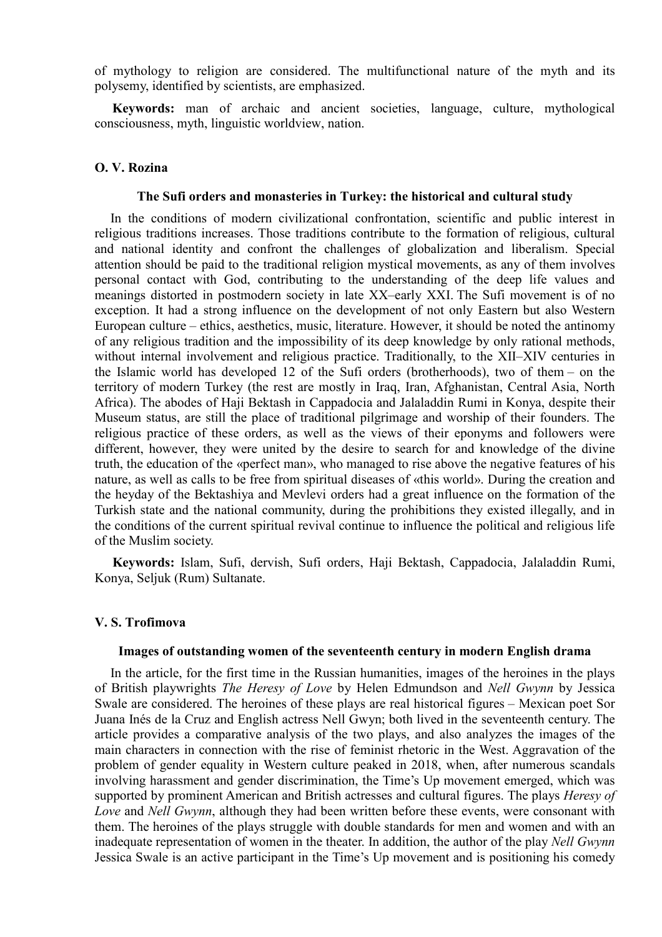of mythology to religion are considered. The multifunctional nature of the myth and its polysemy, identified by scientists, are emphasized.

**Keywords:** man of archaic and ancient societies, language, culture, mythological consciousness, myth, linguistic worldview, nation.

## **O. V. Rozina**

### **The Sufi orders and monasteries in Turkey: the historical and cultural study**

In the conditions of modern civilizational confrontation, scientific and public interest in religious traditions increases. Those traditions contribute to the formation of religious, cultural and national identity and confront the challenges of globalization and liberalism. Special attention should be paid to the traditional religion mystical movements, as any of them involves personal contact with God, contributing to the understanding of the deep life values and meanings distorted in postmodern society in late XX–early XXI. The Sufi movement is of no exception. It had a strong influence on the development of not only Eastern but also Western European culture – ethics, aesthetics, music, literature. However, it should be noted the antinomy of any religious tradition and the impossibility of its deep knowledge by only rational methods, without internal involvement and religious practice. Traditionally, to the XII–XIV centuries in the Islamic world has developed 12 of the Sufi orders (brotherhoods), two of them – on the territory of modern Turkey (the rest are mostly in Iraq, Iran, Afghanistan, Central Asia, North Africa). The abodes of Haji Bektash in Cappadocia and Jalaladdin Rumi in Konya, despite their Museum status, are still the place of traditional pilgrimage and worship of their founders. The religious practice of these orders, as well as the views of their eponyms and followers were different, however, they were united by the desire to search for and knowledge of the divine truth, the education of the «perfect man», who managed to rise above the negative features of his nature, as well as calls to be free from spiritual diseases of «this world». During the creation and the heyday of the Bektashiya and Mevlevi orders had a great influence on the formation of the Turkish state and the national community, during the prohibitions they existed illegally, and in the conditions of the current spiritual revival continue to influence the political and religious life of the Muslim society.

**Keywords:** Islam, Sufi, dervish, Sufi orders, Haji Bektash, Cappadocia, Jalaladdin Rumi, Konya, Seljuk (Rum) Sultanate.

### **V. S. Trofimova**

## **Images of outstanding women of the seventeenth century in modern English drama**

In the article, for the first time in the Russian humanities, images of the heroines in the plays of British playwrights *The Heresy of Love* by Helen Edmundson and *Nell Gwynn* by Jessica Swale are considered. The heroines of these plays are real historical figures – Mexican poet Sor Juana Inés de la Cruz and English actress Nell Gwуn; both lived in the seventeenth century. The article provides a comparative analysis of the two plays, and also analyzes the images of the main characters in connection with the rise of feminist rhetoric in the West. Aggravation of the problem of gender equality in Western culture peaked in 2018, when, after numerous scandals involving harassment and gender discrimination, the Time's Up movement emerged, which was supported by prominent American and British actresses and cultural figures. The plays *Heresy of Love* and *Nell Gwynn*, although they had been written before these events, were consonant with them. The heroines of the plays struggle with double standards for men and women and with an inadequate representation of women in the theater. In addition, the author of the play *Nell Gwynn* Jessica Swale is an active participant in the Time's Up movement and is positioning his comedy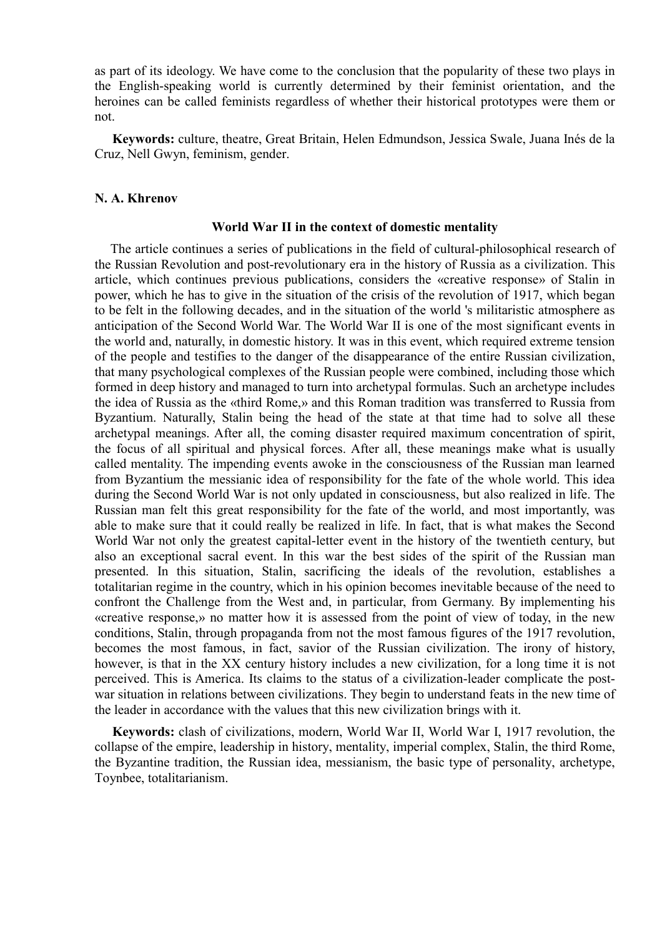as part of its ideology. We have come to the conclusion that the popularity of these two plays in the English-speaking world is currently determined by their feminist orientation, and the heroines can be called feminists regardless of whether their historical prototypes were them or not.

**Keywords:** culture, theatre, Great Britain, Helen Edmundson, Jessica Swale, Juana Inés de la Cruz, Nell Gwyn, feminism, gender.

### **N. A. Khrenov**

#### **World War II in the context of domestic mentality**

The article continues a series of publications in the field of cultural-philosophical research of the Russian Revolution and post-revolutionary era in the history of Russia as a civilization. This article, which continues previous publications, considers the «creative response» of Stalin in power, which he has to give in the situation of the crisis of the revolution of 1917, which began to be felt in the following decades, and in the situation of the world 's militaristic atmosphere as anticipation of the Second World War. The World War II is one of the most significant events in the world and, naturally, in domestic history. It was in this event, which required extreme tension of the people and testifies to the danger of the disappearance of the entire Russian civilization, that many psychological complexes of the Russian people were combined, including those which formed in deep history and managed to turn into archetypal formulas. Such an archetype includes the idea of Russia as the «third Rome,» and this Roman tradition was transferred to Russia from Byzantium. Naturally, Stalin being the head of the state at that time had to solve all these archetypal meanings. After all, the coming disaster required maximum concentration of spirit, the focus of all spiritual and physical forces. After all, these meanings make what is usually called mentality. The impending events awoke in the consciousness of the Russian man learned from Byzantium the messianic idea of responsibility for the fate of the whole world. This idea during the Second World War is not only updated in consciousness, but also realized in life. The Russian man felt this great responsibility for the fate of the world, and most importantly, was able to make sure that it could really be realized in life. In fact, that is what makes the Second World War not only the greatest capital-letter event in the history of the twentieth century, but also an exceptional sacral event. In this war the best sides of the spirit of the Russian man presented. In this situation, Stalin, sacrificing the ideals of the revolution, establishes a totalitarian regime in the country, which in his opinion becomes inevitable because of the need to confront the Challenge from the West and, in particular, from Germany. By implementing his «creative response,» no matter how it is assessed from the point of view of today, in the new conditions, Stalin, through propaganda from not the most famous figures of the 1917 revolution, becomes the most famous, in fact, savior of the Russian civilization. The irony of history, however, is that in the XX century history includes a new civilization, for a long time it is not perceived. This is America. Its claims to the status of a civilization-leader complicate the postwar situation in relations between civilizations. They begin to understand feats in the new time of the leader in accordance with the values that this new civilization brings with it.

**Keywords:** clash of civilizations, modern, World War II, World War I, 1917 revolution, the collapse of the empire, leadership in history, mentality, imperial complex, Stalin, the third Rome, the Byzantine tradition, the Russian idea, messianism, the basic type of personality, archetype, Toynbee, totalitarianism.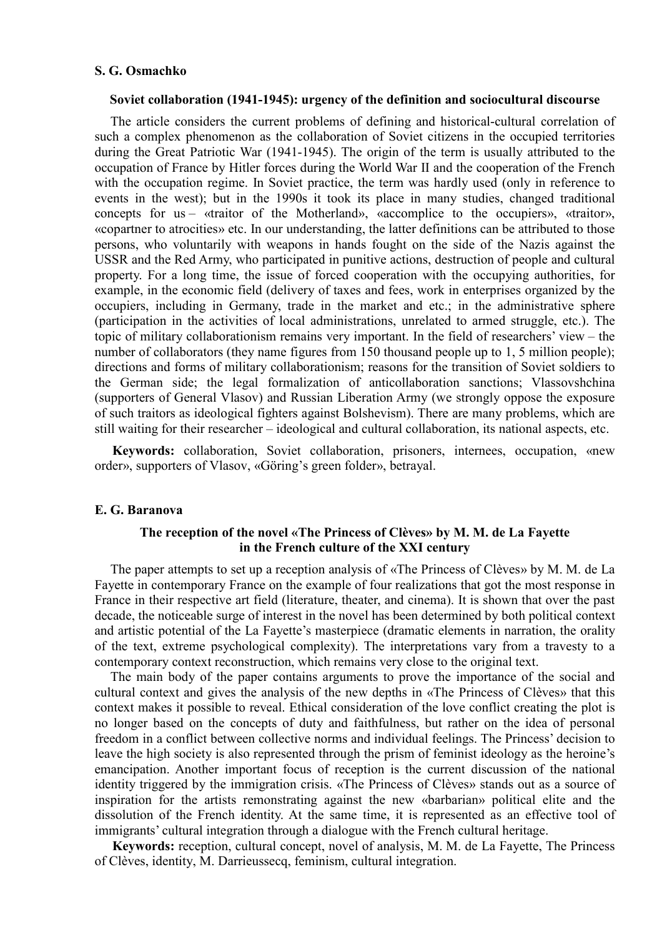#### **S. G. Osmachko**

#### **Soviet collaboration (1941-1945): urgency of the definition and sociocultural discourse**

The article considers the current problems of defining and historical-cultural correlation of such a complex phenomenon as the collaboration of Soviet citizens in the occupied territories during the Great Patriotic War (1941-1945). The origin of the term is usually attributed to the occupation of France by Hitler forces during the World War II and the cooperation of the French with the occupation regime. In Soviet practice, the term was hardly used (only in reference to events in the west); but in the 1990s it took its place in many studies, changed traditional concepts for us – «traitor of the Motherland», «accomplice to the occupiers», «traitor», «copartner to atrocities» etc. In our understanding, the latter definitions can be attributed to those persons, who voluntarily with weapons in hands fought on the side of the Nazis against the USSR and the Red Army, who participated in punitive actions, destruction of people and cultural property. For a long time, the issue of forced cooperation with the occupying authorities, for example, in the economic field (delivery of taxes and fees, work in enterprises organized by the occupiers, including in Germany, trade in the market and etc.; in the administrative sphere (participation in the activities of local administrations, unrelated to armed struggle, etc.). The topic of military collaborationism remains very important. In the field of researchers' view – the number of collaborators (they name figures from 150 thousand people up to 1, 5 million people); directions and forms of military collaborationism; reasons for the transition of Soviet soldiers to the German side; the legal formalization of anticollaboration sanctions; Vlassovshchina (supporters of General Vlasov) and Russian Liberation Army (we strongly oppose the exposure of such traitors as ideological fighters against Bolshevism). There are many problems, which are still waiting for their researcher – ideological and cultural collaboration, its national aspects, etc.

**Keywords:** collaboration, Soviet collaboration, prisoners, internees, occupation, «new order», supporters of Vlasov, «Göring's green folder», betrayal.

## **E. G. Baranova**

# **The reception of the novel «The Princess of Clèves» by M. M. de La Fayette in the French culture of the XXI century**

The paper attempts to set up a reception analysis of «The Princess of Clèves» by M. M. de La Fayette in contemporary France on the example of four realizations that got the most response in France in their respective art field (literature, theater, and cinema). It is shown that over the past decade, the noticeable surge of interest in the novel has been determined by both political context and artistic potential of the La Fayette's masterpiece (dramatic elements in narration, the orality of the text, extreme psychological complexity). The interpretations vary from a travesty to a contemporary context reconstruction, which remains very close to the original text.

The main body of the paper contains arguments to prove the importance of the social and cultural context and gives the analysis of the new depths in «The Princess of Clèves» that this context makes it possible to reveal. Ethical consideration of the love conflict creating the plot is no longer based on the concepts of duty and faithfulness, but rather on the idea of personal freedom in a conflict between collective norms and individual feelings. The Princess' decision to leave the high society is also represented through the prism of feminist ideology as the heroine's emancipation. Another important focus of reception is the current discussion of the national identity triggered by the immigration crisis. «The Princess of Clèves» stands out as a source of inspiration for the artists remonstrating against the new «barbarian» political elite and the dissolution of the French identity. At the same time, it is represented as an effective tool of immigrants' cultural integration through a dialogue with the French cultural heritage.

**Keywords:** reception, cultural concept, novel of analysis, M. M. de La Fayette, The Princess of Clèves, identity, M. Darrieussecq, feminism, cultural integration.